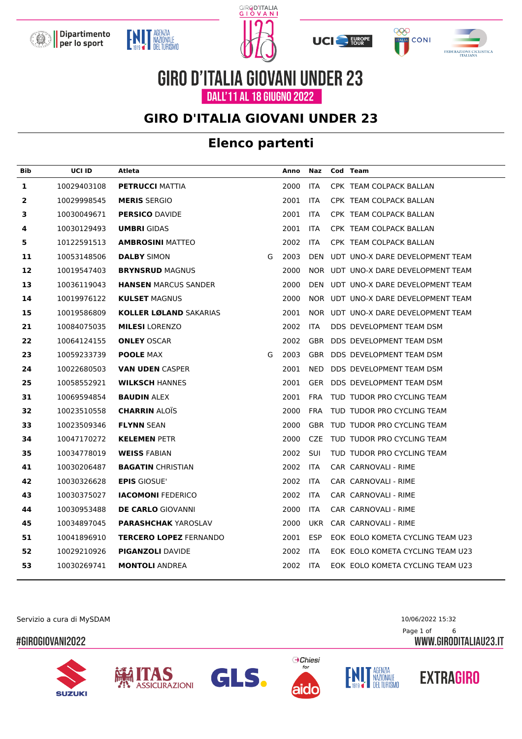







**GIRO D'ITALIA GIOVANI UNDER 23** DALL'11 AL 18 GIUGNO 2022

### **GIRO D'ITALIA GIOVANI UNDER 23**

### **Elenco partenti**

| Bib | UCI ID      | Atleta                        |   | Anno | Naz        | Cod Team                            |
|-----|-------------|-------------------------------|---|------|------------|-------------------------------------|
| 1   | 10029403108 | <b>PETRUCCI MATTIA</b>        |   | 2000 | <b>ITA</b> | CPK TEAM COLPACK BALLAN             |
| 2   | 10029998545 | <b>MERIS SERGIO</b>           |   | 2001 | <b>ITA</b> | CPK TEAM COLPACK BALLAN             |
| 3   | 10030049671 | <b>PERSICO DAVIDE</b>         |   | 2001 | <b>ITA</b> | CPK TEAM COLPACK BALLAN             |
| 4   | 10030129493 | <b>UMBRI</b> GIDAS            |   | 2001 | <b>ITA</b> | CPK TEAM COLPACK BALLAN             |
| 5   | 10122591513 | <b>AMBROSINI MATTEO</b>       |   | 2002 | <b>ITA</b> | CPK TEAM COLPACK BALLAN             |
| 11  | 10053148506 | <b>DALBY SIMON</b>            | G | 2003 | <b>DEN</b> | UDT UNO-X DARE DEVELOPMENT TEAM     |
| 12  | 10019547403 | <b>BRYNSRUD MAGNUS</b>        |   | 2000 |            | NOR UDT UNO-X DARE DEVELOPMENT TEAM |
| 13  | 10036119043 | <b>HANSEN MARCUS SANDER</b>   |   | 2000 |            | DEN UDT UNO-X DARE DEVELOPMENT TEAM |
| 14  | 10019976122 | <b>KULSET MAGNUS</b>          |   | 2000 |            | NOR UDT UNO-X DARE DEVELOPMENT TEAM |
| 15  | 10019586809 | <b>KOLLER LØLAND SAKARIAS</b> |   | 2001 |            | NOR UDT UNO-X DARE DEVELOPMENT TEAM |
| 21  | 10084075035 | <b>MILESI</b> LORENZO         |   | 2002 | <b>ITA</b> | DDS DEVELOPMENT TEAM DSM            |
| 22  | 10064124155 | <b>ONLEY OSCAR</b>            |   | 2002 |            | GBR DDS DEVELOPMENT TEAM DSM        |
| 23  | 10059233739 | <b>POOLE MAX</b>              | G | 2003 |            | GBR DDS DEVELOPMENT TEAM DSM        |
| 24  | 10022680503 | <b>VAN UDEN CASPER</b>        |   | 2001 | NED        | DDS DEVELOPMENT TEAM DSM            |
| 25  | 10058552921 | <b>WILKSCH HANNES</b>         |   | 2001 |            | GER DDS DEVELOPMENT TEAM DSM        |
| 31  | 10069594854 | <b>BAUDIN ALEX</b>            |   | 2001 | <b>FRA</b> | TUD TUDOR PRO CYCLING TEAM          |
| 32  | 10023510558 | <b>CHARRIN ALOIS</b>          |   | 2000 | <b>FRA</b> | TUD TUDOR PRO CYCLING TEAM          |
| 33  | 10023509346 | <b>FLYNN SEAN</b>             |   | 2000 |            | GBR TUD TUDOR PRO CYCLING TEAM      |
| 34  | 10047170272 | <b>KELEMEN PETR</b>           |   | 2000 | CZE        | TUD TUDOR PRO CYCLING TEAM          |
| 35  | 10034778019 | <b>WEISS FABIAN</b>           |   | 2002 | <b>SUI</b> | TUD TUDOR PRO CYCLING TEAM          |
| 41  | 10030206487 | <b>BAGATIN CHRISTIAN</b>      |   | 2002 | <b>ITA</b> | CAR CARNOVALI - RIME                |
| 42  | 10030326628 | <b>EPIS GIOSUE'</b>           |   | 2002 | <b>ITA</b> | CAR CARNOVALI - RIME                |
| 43  | 10030375027 | <b>IACOMONI FEDERICO</b>      |   | 2002 | <b>ITA</b> | CAR CARNOVALI - RIME                |
| 44  | 10030953488 | <b>DE CARLO GIOVANNI</b>      |   | 2000 | <b>ITA</b> | CAR CARNOVALI - RIME                |
| 45  | 10034897045 | <b>PARASHCHAK YAROSLAV</b>    |   | 2000 | <b>UKR</b> | CAR CARNOVALI - RIME                |
| 51  | 10041896910 | <b>TERCERO LOPEZ FERNANDO</b> |   | 2001 | <b>ESP</b> | EOK EOLO KOMETA CYCLING TEAM U23    |
| 52  | 10029210926 | <b>PIGANZOLI DAVIDE</b>       |   | 2002 | <b>ITA</b> | EOK EOLO KOMETA CYCLING TEAM U23    |
| 53  | 10030269741 | <b>MONTOLI ANDREA</b>         |   | 2002 | <b>ITA</b> | EOK EOLO KOMETA CYCLING TEAM U23    |
|     |             |                               |   |      |            |                                     |

Servizio a cura di MySDAM 10/06/2022 15:32

#### #GIROGIOVANI2022











Page 1 of 6

WWW.GIRODITALIAU23.IT

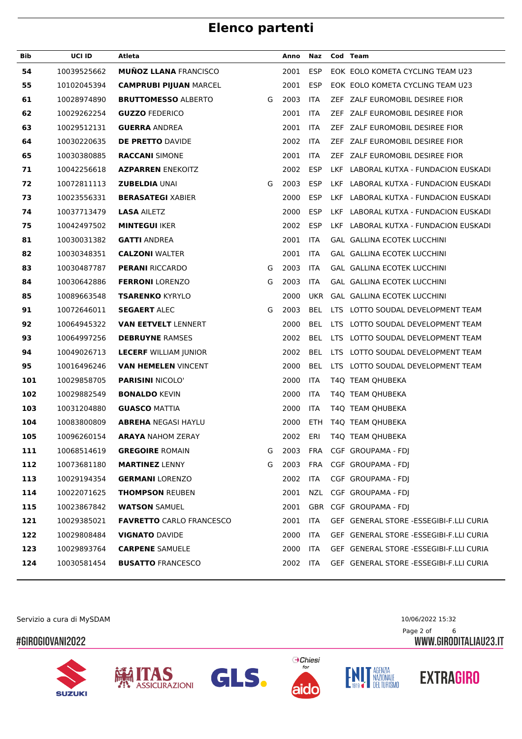| Bib | <b>UCI ID</b> | Atleta                          |   | Anno     | Naz        |      | Cod Team                                |
|-----|---------------|---------------------------------|---|----------|------------|------|-----------------------------------------|
| 54  | 10039525662   | <b>MUÑOZ LLANA FRANCISCO</b>    |   | 2001     | <b>ESP</b> |      | EOK EOLO KOMETA CYCLING TEAM U23        |
| 55  | 10102045394   | <b>CAMPRUBI PIJUAN MARCEL</b>   |   | 2001     | <b>ESP</b> |      | EOK EOLO KOMETA CYCLING TEAM U23        |
| 61  | 10028974890   | <b>BRUTTOMESSO ALBERTO</b>      | G | 2003     | <b>ITA</b> |      | ZEF ZALF EUROMOBIL DESIREE FIOR         |
| 62  | 10029262254   | <b>GUZZO FEDERICO</b>           |   | 2001     | <b>ITA</b> |      | ZEF ZALF EUROMOBIL DESIREE FIOR         |
| 63  | 10029512131   | <b>GUERRA ANDREA</b>            |   | 2001     | <b>ITA</b> |      | ZEF ZALF EUROMOBIL DESIREE FIOR         |
| 64  | 10030220635   | <b>DE PRETTO DAVIDE</b>         |   | 2002     | <b>ITA</b> |      | ZEF ZALF EUROMOBIL DESIREE FIOR         |
| 65  | 10030380885   | <b>RACCANI SIMONE</b>           |   | 2001     | <b>ITA</b> |      | ZEF ZALF EUROMOBIL DESIREE FIOR         |
| 71  | 10042256618   | <b>AZPARREN ENEKOITZ</b>        |   | 2002     | <b>ESP</b> | LKF. | LABORAL KUTXA - FUNDACION EUSKADI       |
| 72  | 10072811113   | <b>ZUBELDIA UNAI</b>            | G | 2003     | <b>ESP</b> |      | LKF LABORAL KUTXA - FUNDACION EUSKADI   |
| 73  | 10023556331   | <b>BERASATEGI XABIER</b>        |   | 2000     | <b>ESP</b> |      | LKF LABORAL KUTXA - FUNDACION EUSKADI   |
| 74  | 10037713479   | <b>LASA AILETZ</b>              |   | 2000     | <b>ESP</b> |      | LKF LABORAL KUTXA - FUNDACION EUSKADI   |
| 75  | 10042497502   | <b>MINTEGUI IKER</b>            |   | 2002     | <b>ESP</b> |      | LKF LABORAL KUTXA - FUNDACION EUSKADI   |
| 81  | 10030031382   | <b>GATTI ANDREA</b>             |   | 2001     | <b>ITA</b> |      | GAL GALLINA ECOTEK LUCCHINI             |
| 82  | 10030348351   | <b>CALZONI WALTER</b>           |   | 2001     | <b>ITA</b> |      | <b>GAL GALLINA ECOTEK LUCCHINI</b>      |
| 83  | 10030487787   | <b>PERANI RICCARDO</b>          | G | 2003     | ITA        |      | <b>GAL GALLINA ECOTEK LUCCHINI</b>      |
| 84  | 10030642886   | <b>FERRONI</b> LORENZO          | G | 2003     | ITA        |      | GAL GALLINA ECOTEK LUCCHINI             |
| 85  | 10089663548   | <b>TSARENKO KYRYLO</b>          |   | 2000     | <b>UKR</b> |      | GAL GALLINA ECOTEK LUCCHINI             |
| 91  | 10072646011   | <b>SEGAERT ALEC</b>             | G | 2003     | <b>BEL</b> |      | LTS LOTTO SOUDAL DEVELOPMENT TEAM       |
| 92  | 10064945322   | <b>VAN EETVELT LENNERT</b>      |   | 2000     | <b>BEL</b> |      | LTS LOTTO SOUDAL DEVELOPMENT TEAM       |
| 93  | 10064997256   | <b>DEBRUYNE RAMSES</b>          |   | 2002     | <b>BEL</b> |      | LTS LOTTO SOUDAL DEVELOPMENT TEAM       |
| 94  | 10049026713   | <b>LECERF WILLIAM JUNIOR</b>    |   | 2002     | <b>BEL</b> |      | LTS LOTTO SOUDAL DEVELOPMENT TEAM       |
| 95  | 10016496246   | <b>VAN HEMELEN VINCENT</b>      |   | 2000     | <b>BEL</b> |      | LTS LOTTO SOUDAL DEVELOPMENT TEAM       |
| 101 | 10029858705   | <b>PARISINI NICOLO'</b>         |   | 2000     | <b>ITA</b> |      | T4Q TEAM QHUBEKA                        |
| 102 | 10029882549   | <b>BONALDO KEVIN</b>            |   | 2000     | <b>ITA</b> |      | T4Q TEAM OHUBEKA                        |
| 103 | 10031204880   | <b>GUASCO MATTIA</b>            |   | 2000     | <b>ITA</b> |      | T4Q TEAM QHUBEKA                        |
| 104 | 10083800809   | <b>ABREHA NEGASI HAYLU</b>      |   | 2000     | ETH        |      | T40 TEAM OHUBEKA                        |
| 105 | 10096260154   | <b>ARAYA NAHOM ZERAY</b>        |   | 2002     | ERI        |      | T4Q TEAM OHUBEKA                        |
| 111 | 10068514619   | <b>GREGOIRE ROMAIN</b>          | G | 2003     | FRA        |      | CGF GROUPAMA - FDJ                      |
| 112 | 10073681180   | <b>MARTINEZ LENNY</b>           | G | 2003     | FRA        |      | CGF GROUPAMA - FDJ                      |
| 113 | 10029194354   | <b>GERMANI LORENZO</b>          |   | 2002     | ITA        |      | CGF GROUPAMA - FDI                      |
| 114 | 10022071625   | <b>THOMPSON REUBEN</b>          |   | 2001     | NZL        |      | CGF GROUPAMA - FDI                      |
| 115 | 10023867842   | <b>WATSON SAMUEL</b>            |   | 2001     |            |      | GBR CGF GROUPAMA - FDJ                  |
| 121 | 10029385021   | <b>FAVRETTO CARLO FRANCESCO</b> |   | 2001     | ITA        |      | GEF GENERAL STORE -ESSEGIBI-F.LLI CURIA |
| 122 | 10029808484   | <b>VIGNATO DAVIDE</b>           |   | 2000     | ITA        |      | GEF GENERAL STORE -ESSEGIBI-F.LLI CURIA |
| 123 | 10029893764   | <b>CARPENE SAMUELE</b>          |   | 2000     | <b>ITA</b> |      | GEF GENERAL STORE -ESSEGIBI-F.LLI CURIA |
| 124 | 10030581454   | <b>BUSATTO FRANCESCO</b>        |   | 2002 ITA |            |      | GEF GENERAL STORE -ESSEGIBI-F.LLI CURIA |
|     |               |                                 |   |          |            |      |                                         |

Servizio a cura di MySDAM 10/06/2022 15:32

### #GIROGIOVANI2022













Page 2 of 6<br>WWW.GIRODITALIAU23.IT

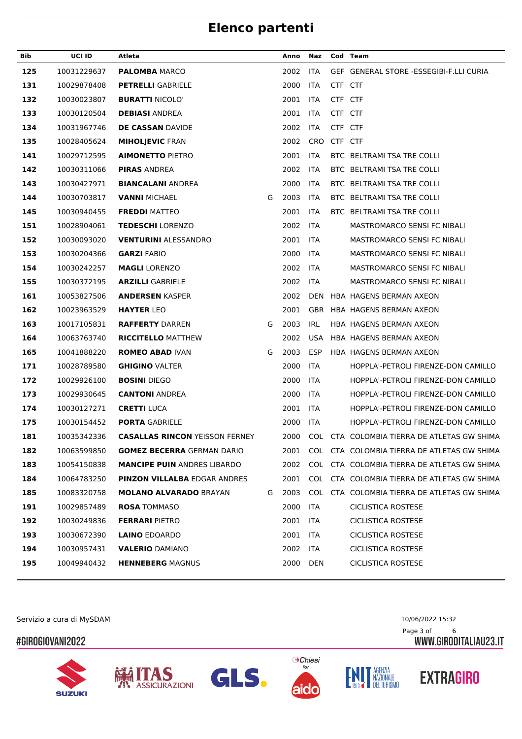| Bib | UCI ID      | Atleta                                |   | Anno | Naz         |         | Cod Team                                    |
|-----|-------------|---------------------------------------|---|------|-------------|---------|---------------------------------------------|
| 125 | 10031229637 | <b>PALOMBA MARCO</b>                  |   | 2002 | <b>ITA</b>  |         | GEF GENERAL STORE -ESSEGIBI-F.LLI CURIA     |
| 131 | 10029878408 | <b>PETRELLI GABRIELE</b>              |   | 2000 | <b>ITA</b>  | CTF CTF |                                             |
| 132 | 10030023807 | <b>BURATTI NICOLO'</b>                |   | 2001 | <b>ITA</b>  | CTF CTF |                                             |
| 133 | 10030120504 | <b>DEBIASI ANDREA</b>                 |   | 2001 | <b>ITA</b>  | CTF CTF |                                             |
| 134 | 10031967746 | <b>DE CASSAN DAVIDE</b>               |   | 2002 | <b>ITA</b>  | CTF CTF |                                             |
| 135 | 10028405624 | <b>MIHOLJEVIC FRAN</b>                |   | 2002 | CRO CTF CTF |         |                                             |
| 141 | 10029712595 | <b>AIMONETTO PIETRO</b>               |   | 2001 | <b>ITA</b>  |         | BTC BELTRAMI TSA TRE COLLI                  |
| 142 | 10030311066 | <b>PIRAS ANDREA</b>                   |   | 2002 | <b>ITA</b>  |         | BTC BELTRAMI TSA TRE COLLI                  |
| 143 | 10030427971 | <b>BIANCALANI ANDREA</b>              |   | 2000 | <b>ITA</b>  |         | BTC BELTRAMI TSA TRE COLLI                  |
| 144 | 10030703817 | <b>VANNI MICHAEL</b>                  | G | 2003 | <b>ITA</b>  |         | BTC BELTRAMI TSA TRE COLLI                  |
| 145 | 10030940455 | <b>FREDDI MATTEO</b>                  |   | 2001 | <b>ITA</b>  |         | BTC BELTRAMI TSA TRE COLLI                  |
| 151 | 10028904061 | <b>TEDESCHI LORENZO</b>               |   | 2002 | <b>ITA</b>  |         | <b>MASTROMARCO SENSI FC NIBALI</b>          |
| 152 | 10030093020 | <b>VENTURINI ALESSANDRO</b>           |   | 2001 | <b>ITA</b>  |         | MASTROMARCO SENSI FC NIBALI                 |
| 153 | 10030204366 | <b>GARZI FABIO</b>                    |   | 2000 | <b>ITA</b>  |         | MASTROMARCO SENSI FC NIBALI                 |
| 154 | 10030242257 | <b>MAGLI LORENZO</b>                  |   | 2002 | <b>ITA</b>  |         | <b>MASTROMARCO SENSI FC NIBALI</b>          |
| 155 | 10030372195 | <b>ARZILLI GABRIELE</b>               |   | 2002 | <b>ITA</b>  |         | <b>MASTROMARCO SENSI FC NIBALI</b>          |
| 161 | 10053827506 | <b>ANDERSEN KASPER</b>                |   | 2002 | DEN         |         | HBA HAGENS BERMAN AXEON                     |
| 162 | 10023963529 | <b>HAYTER LEO</b>                     |   | 2001 |             |         | GBR HBA HAGENS BERMAN AXEON                 |
| 163 | 10017105831 | <b>RAFFERTY DARREN</b>                | G | 2003 | <b>IRL</b>  |         | HBA HAGENS BERMAN AXEON                     |
| 164 | 10063763740 | <b>RICCITELLO MATTHEW</b>             |   | 2002 | <b>USA</b>  |         | HBA HAGENS BERMAN AXEON                     |
| 165 | 10041888220 | <b>ROMEO ABAD IVAN</b>                | G | 2003 | <b>ESP</b>  |         | HBA HAGENS BERMAN AXEON                     |
| 171 | 10028789580 | <b>GHIGINO VALTER</b>                 |   | 2000 | <b>ITA</b>  |         | HOPPLA'-PETROLI FIRENZE-DON CAMILLO         |
| 172 | 10029926100 | <b>BOSINI DIEGO</b>                   |   | 2000 | <b>ITA</b>  |         | HOPPLA'-PETROLI FIRENZE-DON CAMILLO         |
| 173 | 10029930645 | <b>CANTONI ANDREA</b>                 |   | 2000 | <b>ITA</b>  |         | HOPPLA'-PETROLI FIRENZE-DON CAMILLO         |
| 174 | 10030127271 | <b>CRETTI LUCA</b>                    |   | 2001 | <b>ITA</b>  |         | HOPPLA'-PETROLI FIRENZE-DON CAMILLO         |
| 175 | 10030154452 | <b>PORTA GABRIELE</b>                 |   | 2000 | <b>ITA</b>  |         | HOPPLA'-PETROLI FIRENZE-DON CAMILLO         |
| 181 | 10035342336 | <b>CASALLAS RINCON YEISSON FERNEY</b> |   | 2000 |             |         | COL CTA COLOMBIA TIERRA DE ATLETAS GW SHIMA |
| 182 | 10063599850 | <b>GOMEZ BECERRA GERMAN DARIO</b>     |   | 2001 |             |         | COL CTA COLOMBIA TIERRA DE ATLETAS GW SHIMA |
| 183 | 10054150838 | <b>MANCIPE PUIN ANDRES LIBARDO</b>    |   | 2002 |             |         | COL CTA COLOMBIA TIERRA DE ATLETAS GW SHIMA |
| 184 | 10064783250 | <b>PINZON VILLALBA EDGAR ANDRES</b>   |   | 2001 |             |         | COL CTA COLOMBIA TIERRA DE ATLETAS GW SHIMA |
| 185 | 10083320758 | <b>MOLANO ALVARADO BRAYAN</b>         | G | 2003 |             |         | COL CTA COLOMBIA TIERRA DE ATLETAS GW SHIMA |
| 191 | 10029857489 | <b>ROSA TOMMASO</b>                   |   | 2000 | <b>ITA</b>  |         | <b>CICLISTICA ROSTESE</b>                   |
| 192 | 10030249836 | <b>FERRARI PIETRO</b>                 |   | 2001 | <b>ITA</b>  |         | <b>CICLISTICA ROSTESE</b>                   |
| 193 | 10030672390 | <b>LAINO EDOARDO</b>                  |   | 2001 | <b>ITA</b>  |         | <b>CICLISTICA ROSTESE</b>                   |
| 194 | 10030957431 | <b>VALERIO DAMIANO</b>                |   | 2002 | ITA         |         | CICLISTICA ROSTESE                          |
| 195 | 10049940432 | <b>HENNEBERG MAGNUS</b>               |   | 2000 | <b>DEN</b>  |         | <b>CICLISTICA ROSTESE</b>                   |
|     |             |                                       |   |      |             |         |                                             |

Servizio a cura di MySDAM 10/06/2022 15:32

### #GIROGIOVANI2022













**EXTRAGIRO** 

Page 3 of 6<br>WWW.GIRODITALIAU23.IT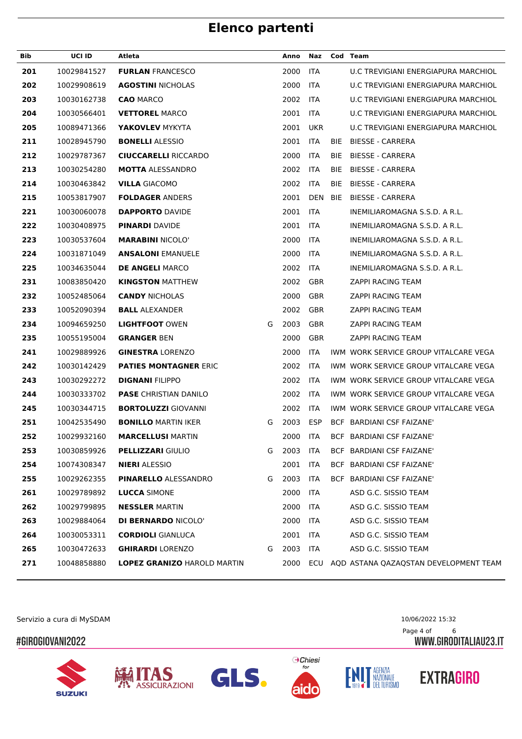| Bib | UCI ID      | Atleta                             |   | Anno | Naz        |            | Cod Team                                  |
|-----|-------------|------------------------------------|---|------|------------|------------|-------------------------------------------|
| 201 | 10029841527 | <b>FURLAN FRANCESCO</b>            |   | 2000 | <b>ITA</b> |            | U.C TREVIGIANI ENERGIAPURA MARCHIOL       |
| 202 | 10029908619 | <b>AGOSTINI NICHOLAS</b>           |   | 2000 | <b>ITA</b> |            | U.C TREVIGIANI ENERGIAPURA MARCHIOL       |
| 203 | 10030162738 | <b>CAO MARCO</b>                   |   | 2002 | <b>ITA</b> |            | U.C TREVIGIANI ENERGIAPURA MARCHIOL       |
| 204 | 10030566401 | <b>VETTOREL MARCO</b>              |   | 2001 | <b>ITA</b> |            | U.C TREVIGIANI ENERGIAPURA MARCHIOL       |
| 205 | 10089471366 | YAKOVLEV MYKYTA                    |   | 2001 | <b>UKR</b> |            | U.C TREVIGIANI ENERGIAPURA MARCHIOL       |
| 211 | 10028945790 | <b>BONELLI ALESSIO</b>             |   | 2001 | <b>ITA</b> | <b>BIE</b> | <b>BIESSE - CARRERA</b>                   |
| 212 | 10029787367 | <b>CIUCCARELLI RICCARDO</b>        |   | 2000 | ITA        | BIE.       | <b>BIESSE - CARRERA</b>                   |
| 213 | 10030254280 | <b>MOTTA ALESSANDRO</b>            |   | 2002 | ITA        | BIE        | BIESSE - CARRERA                          |
| 214 | 10030463842 | <b>VILLA GIACOMO</b>               |   | 2002 | <b>ITA</b> | BIE        | <b>BIESSE - CARRERA</b>                   |
| 215 | 10053817907 | <b>FOLDAGER ANDERS</b>             |   | 2001 | <b>DEN</b> | BIE        | BIESSE - CARRERA                          |
| 221 | 10030060078 | <b>DAPPORTO DAVIDE</b>             |   | 2001 | <b>ITA</b> |            | INEMILIAROMAGNA S.S.D. A R.L.             |
| 222 | 10030408975 | <b>PINARDI DAVIDE</b>              |   | 2001 | <b>ITA</b> |            | INEMILIAROMAGNA S.S.D. A R.L.             |
| 223 | 10030537604 | <b>MARABINI NICOLO'</b>            |   | 2000 | <b>ITA</b> |            | INEMILIAROMAGNA S.S.D. A R.L.             |
| 224 | 10031871049 | <b>ANSALONI EMANUELE</b>           |   | 2000 | <b>ITA</b> |            | INEMILIAROMAGNA S.S.D. A R.L.             |
| 225 | 10034635044 | <b>DE ANGELI MARCO</b>             |   | 2002 | <b>ITA</b> |            | INEMILIAROMAGNA S.S.D. A R.L.             |
| 231 | 10083850420 | <b>KINGSTON MATTHEW</b>            |   | 2002 | GBR        |            | ZAPPI RACING TEAM                         |
| 232 | 10052485064 | <b>CANDY NICHOLAS</b>              |   | 2000 | GBR        |            | ZAPPI RACING TEAM                         |
| 233 | 10052090394 | <b>BALL ALEXANDER</b>              |   | 2002 | GBR        |            | ZAPPI RACING TEAM                         |
| 234 | 10094659250 | <b>LIGHTFOOT OWEN</b>              | G | 2003 | <b>GBR</b> |            | ZAPPI RACING TEAM                         |
| 235 | 10055195004 | <b>GRANGER BEN</b>                 |   | 2000 | <b>GBR</b> |            | ZAPPI RACING TEAM                         |
| 241 | 10029889926 | <b>GINESTRA LORENZO</b>            |   | 2000 | <b>ITA</b> |            | IWM WORK SERVICE GROUP VITALCARE VEGA     |
| 242 | 10030142429 | <b>PATIES MONTAGNER ERIC</b>       |   | 2002 | ITA        |            | IWM WORK SERVICE GROUP VITALCARE VEGA     |
| 243 | 10030292272 | <b>DIGNANI FILIPPO</b>             |   | 2002 | ITA        |            | IWM WORK SERVICE GROUP VITALCARE VEGA     |
| 244 | 10030333702 | <b>PASE CHRISTIAN DANILO</b>       |   | 2002 | <b>ITA</b> |            | IWM WORK SERVICE GROUP VITALCARE VEGA     |
| 245 | 10030344715 | <b>BORTOLUZZI GIOVANNI</b>         |   | 2002 | ITA        |            | IWM WORK SERVICE GROUP VITALCARE VEGA     |
| 251 | 10042535490 | <b>BONILLO MARTIN IKER</b>         | G | 2003 | <b>ESP</b> |            | BCF BARDIANI CSF FAIZANE'                 |
| 252 | 10029932160 | <b>MARCELLUSI MARTIN</b>           |   | 2000 | <b>ITA</b> |            | BCF BARDIANI CSF FAIZANE'                 |
| 253 | 10030859926 | <b>PELLIZZARI GIULIO</b>           | G | 2003 | ITA        |            | BCF BARDIANI CSF FAIZANE'                 |
| 254 | 10074308347 | <b>NIERI</b> ALESSIO               |   | 2001 | <b>ITA</b> |            | BCF BARDIANI CSF FAIZANE'                 |
| 255 | 10029262355 | <b>PINARELLO ALESSANDRO</b>        | G | 2003 | <b>ITA</b> |            | BCF BARDIANI CSF FAIZANE'                 |
| 261 | 10029789892 | <b>LUCCA SIMONE</b>                |   | 2000 | <b>ITA</b> |            | ASD G.C. SISSIO TEAM                      |
| 262 | 10029799895 | <b>NESSLER MARTIN</b>              |   | 2000 | <b>ITA</b> |            | ASD G.C. SISSIO TEAM                      |
| 263 | 10029884064 | <b>DI BERNARDO NICOLO'</b>         |   | 2000 | <b>ITA</b> |            | ASD G.C. SISSIO TEAM                      |
| 264 | 10030053311 | <b>CORDIOLI GIANLUCA</b>           |   | 2001 | <b>ITA</b> |            | ASD G.C. SISSIO TEAM                      |
| 265 | 10030472633 | <b>GHIRARDI</b> LORENZO            | G | 2003 | <b>ITA</b> |            | ASD G.C. SISSIO TEAM                      |
| 271 | 10048858880 | <b>LOPEZ GRANIZO HAROLD MARTIN</b> |   | 2000 |            |            | ECU AQD ASTANA QAZAQSTAN DEVELOPMENT TEAM |
|     |             |                                    |   |      |            |            |                                           |

Servizio a cura di MySDAM 10/06/2022 15:32

### #GIROGIOVANI2022











Page 4 of 6<br>WWW.GIRODITALIAU23.IT



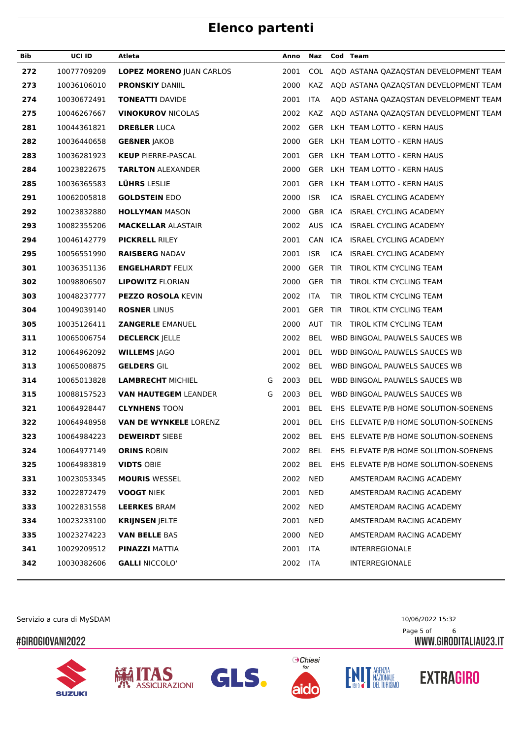| Bib | <b>UCI ID</b> | Atleta                          |   | Anno | Naz        | Cod Team   |                                                |
|-----|---------------|---------------------------------|---|------|------------|------------|------------------------------------------------|
| 272 | 10077709209   | <b>LOPEZ MORENO JUAN CARLOS</b> |   | 2001 |            |            | COL AQD ASTANA QAZAQSTAN DEVELOPMENT TEAM      |
| 273 | 10036106010   | <b>PRONSKIY DANIIL</b>          |   | 2000 |            |            | KAZ AQD ASTANA QAZAQSTAN DEVELOPMENT TEAM      |
| 274 | 10030672491   | <b>TONEATTI DAVIDE</b>          |   | 2001 | <b>ITA</b> |            | AQD ASTANA QAZAQSTAN DEVELOPMENT TEAM          |
| 275 | 10046267667   | <b>VINOKUROV NICOLAS</b>        |   | 2002 |            |            | KAZ AQD ASTANA QAZAQSTAN DEVELOPMENT TEAM      |
| 281 | 10044361821   | <b>DREßLER LUCA</b>             |   | 2002 |            |            | GER LKH TEAM LOTTO - KERN HAUS                 |
| 282 | 10036440658   | <b>GEBNER JAKOB</b>             |   | 2000 |            |            | GER LKH TEAM LOTTO - KERN HAUS                 |
| 283 | 10036281923   | <b>KEUP PIERRE-PASCAL</b>       |   | 2001 |            |            | GER LKH TEAM LOTTO - KERN HAUS                 |
| 284 | 10023822675   | <b>TARLTON ALEXANDER</b>        |   | 2000 |            |            | GER LKH TEAM LOTTO - KERN HAUS                 |
| 285 | 10036365583   | <b>LÜHRS LESLIE</b>             |   | 2001 |            |            | GER LKH TEAM LOTTO - KERN HAUS                 |
| 291 | 10062005818   | <b>GOLDSTEIN EDO</b>            |   | 2000 | <b>ISR</b> |            | ICA ISRAEL CYCLING ACADEMY                     |
| 292 | 10023832880   | <b>HOLLYMAN MASON</b>           |   | 2000 |            |            | GBR ICA ISRAEL CYCLING ACADEMY                 |
| 293 | 10082355206   | <b>MACKELLAR ALASTAIR</b>       |   | 2002 |            |            | AUS ICA ISRAEL CYCLING ACADEMY                 |
| 294 | 10046142779   | <b>PICKRELL RILEY</b>           |   | 2001 | CAN        |            | ICA ISRAEL CYCLING ACADEMY                     |
| 295 | 10056551990   | <b>RAISBERG NADAV</b>           |   | 2001 | <b>ISR</b> |            | ICA ISRAEL CYCLING ACADEMY                     |
| 301 | 10036351136   | <b>ENGELHARDT FELIX</b>         |   | 2000 |            |            | GER TIR TIROL KTM CYCLING TEAM                 |
| 302 | 10098806507   | <b>LIPOWITZ FLORIAN</b>         |   | 2000 | GER TIR    |            | TIROL KTM CYCLING TEAM                         |
| 303 | 10048237777   | <b>PEZZO ROSOLA KEVIN</b>       |   | 2002 | <b>ITA</b> | <b>TIR</b> | TIROL KTM CYCLING TEAM                         |
| 304 | 10049039140   | <b>ROSNER LINUS</b>             |   | 2001 | GER TIR    |            | TIROL KTM CYCLING TEAM                         |
| 305 | 10035126411   | <b>ZANGERLE EMANUEL</b>         |   | 2000 | AUT        |            | TIR TIROL KTM CYCLING TEAM                     |
| 311 | 10065006754   | <b>DECLERCK JELLE</b>           |   | 2002 | <b>BEL</b> |            | WBD BINGOAL PAUWELS SAUCES WB                  |
| 312 | 10064962092   | <b>WILLEMS JAGO</b>             |   | 2001 | <b>BEL</b> |            | WBD BINGOAL PAUWELS SAUCES WB                  |
| 313 | 10065008875   | <b>GELDERS GIL</b>              |   | 2002 | <b>BEL</b> |            | WBD BINGOAL PAUWELS SAUCES WB                  |
| 314 | 10065013828   | <b>LAMBRECHT MICHIEL</b>        | G | 2003 | <b>BEL</b> |            | WBD BINGOAL PAUWELS SAUCES WB                  |
| 315 | 10088157523   | <b>VAN HAUTEGEM LEANDER</b>     | G | 2003 | <b>BEL</b> |            | WBD BINGOAL PAUWELS SAUCES WB                  |
| 321 | 10064928447   | <b>CLYNHENS TOON</b>            |   | 2001 | <b>BEL</b> |            | EHS ELEVATE P/B HOME SOLUTION-SOENENS          |
| 322 | 10064948958   | <b>VAN DE WYNKELE LORENZ</b>    |   | 2001 | <b>BEL</b> |            | EHS ELEVATE P/B HOME SOLUTION-SOENENS          |
| 323 | 10064984223   | <b>DEWEIRDT SIEBE</b>           |   |      |            |            | 2002 BEL EHS ELEVATE P/B HOME SOLUTION-SOENENS |
| 324 | 10064977149   | <b>ORINS ROBIN</b>              |   | 2002 |            |            | BEL EHS ELEVATE P/B HOME SOLUTION-SOENENS      |
| 325 | 10064983819   | <b>VIDTS OBIE</b>               |   | 2002 | BEL        |            | EHS ELEVATE P/B HOME SOLUTION-SOENENS          |
| 331 | 10023053345   | <b>MOURIS WESSEL</b>            |   | 2002 | NED        |            | AMSTERDAM RACING ACADEMY                       |
| 332 | 10022872479   | <b>VOOGT NIEK</b>               |   | 2001 | NED        |            | AMSTERDAM RACING ACADEMY                       |
| 333 | 10022831558   | <b>LEERKES BRAM</b>             |   | 2002 | NED        |            | AMSTERDAM RACING ACADEMY                       |
| 334 | 10023233100   | <b>KRIJNSEN JELTE</b>           |   | 2001 | NED        |            | AMSTERDAM RACING ACADEMY                       |
| 335 | 10023274223   | <b>VAN BELLE BAS</b>            |   | 2000 | NED        |            | AMSTERDAM RACING ACADEMY                       |
| 341 | 10029209512   | <b>PINAZZI MATTIA</b>           |   | 2001 | <b>ITA</b> |            | <b>INTERREGIONALE</b>                          |
| 342 | 10030382606   | <b>GALLI NICCOLO'</b>           |   | 2002 | ITA        |            | <b>INTERREGIONALE</b>                          |

Servizio a cura di MySDAM 10/06/2022 15:32

### #GIROGIOVANI2022













Page 5 of 6<br>WWW.GIRODITALIAU23.IT

**EXTRAGIRO**